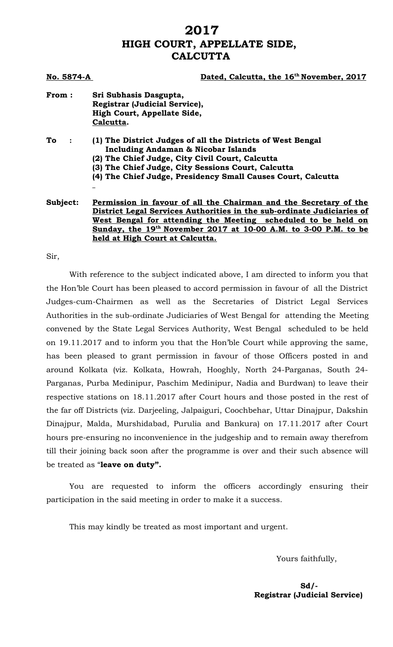## **2017 HIGH COURT, APPELLATE SIDE, CALCUTTA**

| No. 5874-A | Dated, Calcutta, the 16 <sup>th</sup> November, 2017                                                                                                                                                                                                                                                                           |
|------------|--------------------------------------------------------------------------------------------------------------------------------------------------------------------------------------------------------------------------------------------------------------------------------------------------------------------------------|
| From:      | Sri Subhasis Dasgupta,<br>Registrar (Judicial Service),<br>High Court, Appellate Side,<br>Calcutta.                                                                                                                                                                                                                            |
| To         | (1) The District Judges of all the Districts of West Bengal<br><b>Including Andaman &amp; Nicobar Islands</b><br>(2) The Chief Judge, City Civil Court, Calcutta<br>(3) The Chief Judge, City Sessions Court, Calcutta<br>(4) The Chief Judge, Presidency Small Causes Court, Calcutta                                         |
| Subject:   | Permission in favour of all the Chairman and the Secretary of the<br>District Legal Services Authorities in the sub-ordinate Judiciaries of<br>West Bengal for attending the Meeting scheduled to be held on<br>Sunday, the 19 <sup>th</sup> November 2017 at 10-00 A.M. to 3-00 P.M. to be<br>held at High Court at Calcutta. |

Sir,

With reference to the subject indicated above, I am directed to inform you that the Hon'ble Court has been pleased to accord permission in favour of all the District Judges-cum-Chairmen as well as the Secretaries of District Legal Services Authorities in the sub-ordinate Judiciaries of West Bengal for attending the Meeting convened by the State Legal Services Authority, West Bengal scheduled to be held on 19.11.2017 and to inform you that the Hon'ble Court while approving the same, has been pleased to grant permission in favour of those Officers posted in and around Kolkata (viz. Kolkata, Howrah, Hooghly, North 24-Parganas, South 24- Parganas, Purba Medinipur, Paschim Medinipur, Nadia and Burdwan) to leave their respective stations on 18.11.2017 after Court hours and those posted in the rest of the far off Districts (viz. Darjeeling, Jalpaiguri, Coochbehar, Uttar Dinajpur, Dakshin Dinajpur, Malda, Murshidabad, Purulia and Bankura) on 17.11.2017 after Court hours pre-ensuring no inconvenience in the judgeship and to remain away therefrom till their joining back soon after the programme is over and their such absence will be treated as "**leave on duty".**

You are requested to inform the officers accordingly ensuring their participation in the said meeting in order to make it a success.

This may kindly be treated as most important and urgent.

Yours faithfully,

**Sd/- Registrar (Judicial Service)**